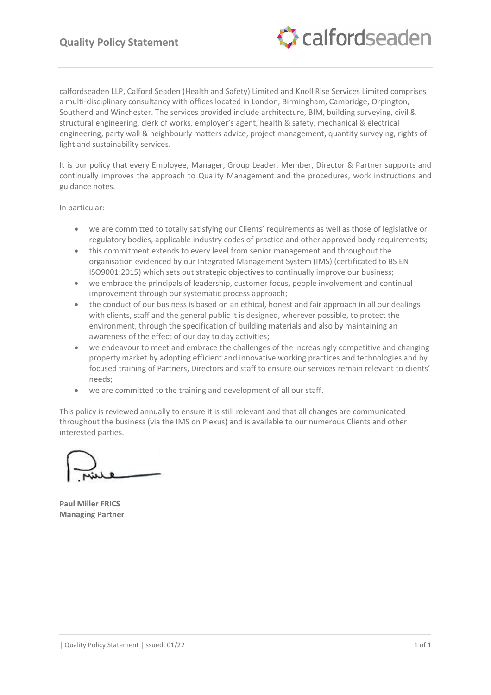

calfordseaden LLP, Calford Seaden (Health and Safety) Limited and Knoll Rise Services Limited comprises a multi-disciplinary consultancy with offices located in London, Birmingham, Cambridge, Orpington, Southend and Winchester. The services provided include architecture, BIM, building surveying, civil & structural engineering, clerk of works, employer's agent, health & safety, mechanical & electrical engineering, party wall & neighbourly matters advice, project management, quantity surveying, rights of light and sustainability services.

It is our policy that every Employee, Manager, Group Leader, Member, Director & Partner supports and continually improves the approach to Quality Management and the procedures, work instructions and guidance notes.

In particular:

- we are committed to totally satisfying our Clients' requirements as well as those of legislative or regulatory bodies, applicable industry codes of practice and other approved body requirements;
- this commitment extends to every level from senior management and throughout the organisation evidenced by our Integrated Management System (IMS) (certificated to BS EN ISO9001:2015) which sets out strategic objectives to continually improve our business;
- we embrace the principals of leadership, customer focus, people involvement and continual improvement through our systematic process approach;
- the conduct of our business is based on an ethical, honest and fair approach in all our dealings with clients, staff and the general public it is designed, wherever possible, to protect the environment, through the specification of building materials and also by maintaining an awareness of the effect of our day to day activities;
- we endeavour to meet and embrace the challenges of the increasingly competitive and changing property market by adopting efficient and innovative working practices and technologies and by focused training of Partners, Directors and staff to ensure our services remain relevant to clients' needs;
- we are committed to the training and development of all our staff.

This policy is reviewed annually to ensure it is still relevant and that all changes are communicated throughout the business (via the IMS on Plexus) and is available to our numerous Clients and other interested parties.

**Paul Miller FRICS Managing Partner**